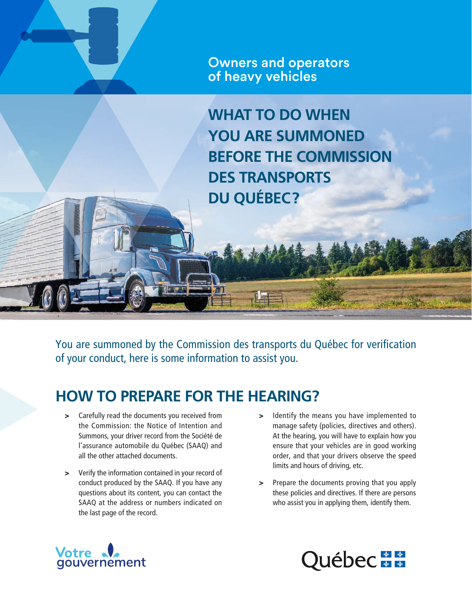Owners and operators of heavy vehicles

**WHAT TO DO WHEN YOU ARE SUMMONED BEFORE THE COMMISSION DES TRANSPORTS DU QUÉBEC?**

You are summoned by the Commission des transports du Québec for verification of your conduct, here is some information to assist you.

## **HOW TO PREPARE FOR THE HEARING?**

- > Carefully read the documents you received from the Commission: the Notice of Intention and Summons, your driver record from the Société de l'assurance automobile du Québec (SAAQ) and all the other attached documents.
- > Verify the information contained in your record of conduct produced by the SAAQ. If you have any questions about its content, you can contact the SAAQ at the address or numbers indicated on the last page of the record.
- > Identify the means you have implemented to manage safety (policies, directives and others). At the hearing, you will have to explain how you ensure that your vehicles are in good working order, and that your drivers observe the speed limits and hours of driving, etc.
- > Prepare the documents proving that you apply these policies and directives. If there are persons who assist you in applying them, identify them.



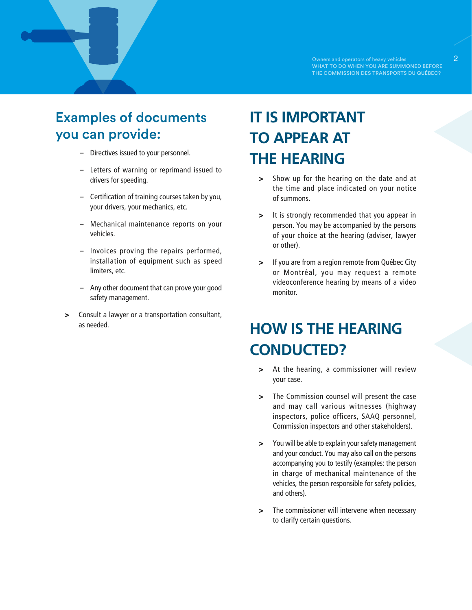## Examples of documents you can provide:

- **–** Directives issued to your personnel.
- **–** Letters of warning or reprimand issued to drivers for speeding.
- **–** Certification of training courses taken by you, your drivers, your mechanics, etc.
- **–** Mechanical maintenance reports on your vehicles.
- **–** Invoices proving the repairs performed, installation of equipment such as speed limiters, etc.
- **–** Any other document that can prove your good safety management.
- > Consult a lawyer or a transportation consultant, as needed.

# **IT IS IMPORTANT TO APPEAR AT THE HEARING**

- > Show up for the hearing on the date and at the time and place indicated on your notice of summons.
- > It is strongly recommended that you appear in person. You may be accompanied by the persons of your choice at the hearing (adviser, lawyer or other).
- > If you are from a region remote from Québec City or Montréal, you may request a remote videoconference hearing by means of a video monitor.

## **HOW IS THE HEARING CONDUCTED?**

- > At the hearing, a commissioner will review your case.
- > The Commission counsel will present the case and may call various witnesses (highway inspectors, police officers, SAAQ personnel, Commission inspectors and other stakeholders).
- > You will be able to explain your safety management and your conduct. You may also call on the persons accompanying you to testify (examples: the person in charge of mechanical maintenance of the vehicles, the person responsible for safety policies, and others).
- > The commissioner will intervene when necessary to clarify certain questions.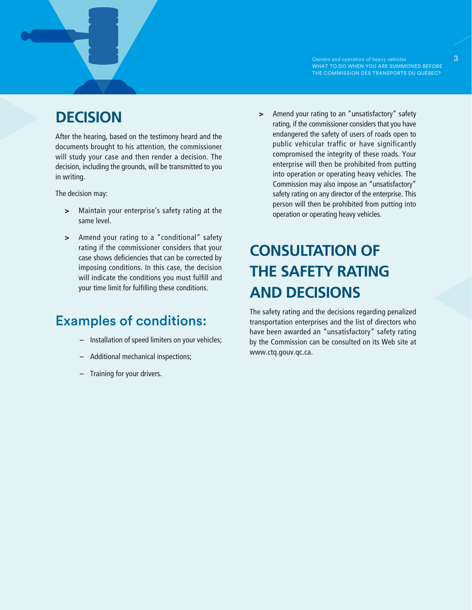WHAT TO DO WHEN YOU ARE SUMMONED BEFORE THE COMMISSION DES TRANSPORTS DU QUÉBEC?

## **DECISION**

After the hearing, based on the testimony heard and the documents brought to his attention, the commissioner will study your case and then render a decision. The decision, including the grounds, will be transmitted to you in writing.

The decision may:

- > Maintain your enterprise's safety rating at the same level.
- > Amend your rating to a "conditional" safety rating if the commissioner considers that your case shows deficiencies that can be corrected by imposing conditions. In this case, the decision will indicate the conditions you must fulfill and your time limit for fulfilling these conditions.

#### Examples of conditions:

- **–** Installation of speed limiters on your vehicles;
- **–** Additional mechanical inspections;
- **–** Training for your drivers.

> Amend your rating to an "unsatisfactory" safety rating, if the commissioner considers that you have endangered the safety of users of roads open to public vehicular traffic or have significantly compromised the integrity of these roads. Your enterprise will then be prohibited from putting into operation or operating heavy vehicles. The Commission may also impose an "unsatisfactory" safety rating on any director of the enterprise. This person will then be prohibited from putting into operation or operating heavy vehicles.

# **CONSULTATION OF THE SAFETY RATING AND DECISIONS**

The safety rating and the decisions regarding penalized transportation enterprises and the list of directors who have been awarded an "unsatisfactory" safety rating by the Commission can be consulted on its Web site at [www.ctq.gouv.qc.ca.](http://www.ctq.gouv.qc.ca)